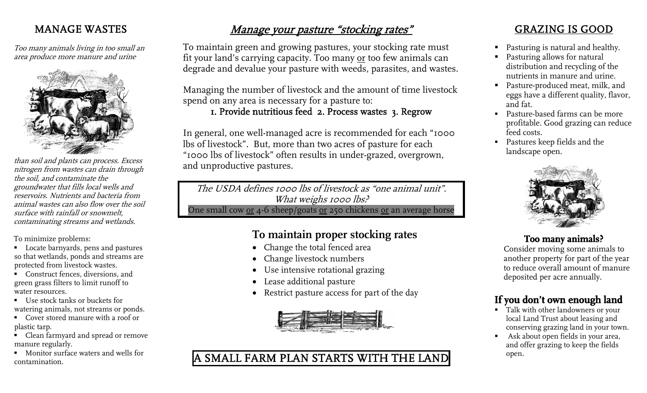#### MANAGE WASTES

Too many animals living in too small an area produce more manure and urine



than soil and plants can process. Excess nitrogen from wastes can drain through the soil, and contaminate the groundwater that fills local wells and reservoirs. Nutrients and bacteria from animal wastes can also flow over the soil surface with rainfall or snowmelt, contaminating streams and wetlands.

To minimize problems:

- Locate barnyards, pens and pastures so that wetlands, ponds and streams are protected from livestock wastes.
- Construct fences, diversions, and green grass filters to limit runoff to water resources.
- Use stock tanks or buckets for watering animals, not streams or ponds.
- Cover stored manure with a roof or plastic tarp.
- Clean farmyard and spread or remove manure regularly.
- **Monitor surface waters and wells for** contamination.

## Manage your pasture "stocking rates"

To maintain green and growing pastures, your stocking rate must fit your land's carrying capacity. Too many or too few animals can degrade and devalue your pasture with weeds, parasites, and wastes.

Managing the number of livestock and the amount of time livestock spend on any area is necessary for a pasture to:

#### 1. Provide nutritious feed 2. Process wastes 3. Regrow

In general, one well-managed acre is recommended for each "1000 lbs of livestock". But, more than two acres of pasture for each "1000 lbs of livestock" often results in under-grazed, overgrown, and unproductive pastures.

The USDA defines 1000 lbs of livestock as "one animal unit". What weighs 1000 lbs? One small cow or 4-6 sheep/goats or 250 chickens or an average horse

### **To maintain proper stocking rates**

- Change the total fenced area
- Change livestock numbers
- Use intensive rotational grazing
- Lease additional pasture
- Restrict pasture access for part of the day



### A SMALL FARM PLAN STARTS WITH THE LAND

#### GRAZING IS GOOD

- Pasturing is natural and healthy.
- Pasturing allows for natural distribution and recycling of the nutrients in manure and urine.
- Pasture-produced meat, milk, and eggs have a different quality, flavor, and fat.
- Pasture-based farms can be more profitable. Good grazing can reduce feed costs.
- Pastures keep fields and the landscape open.



#### **Too many animals?**

Consider moving some animals to another property for part of the year to reduce overall amount of manure deposited per acre annually.

#### **If you don't own enough land**

- Talk with other landowners or your local Land Trust about leasing and conserving grazing land in your town.
- Ask about open fields in your area, and offer grazing to keep the fields open.